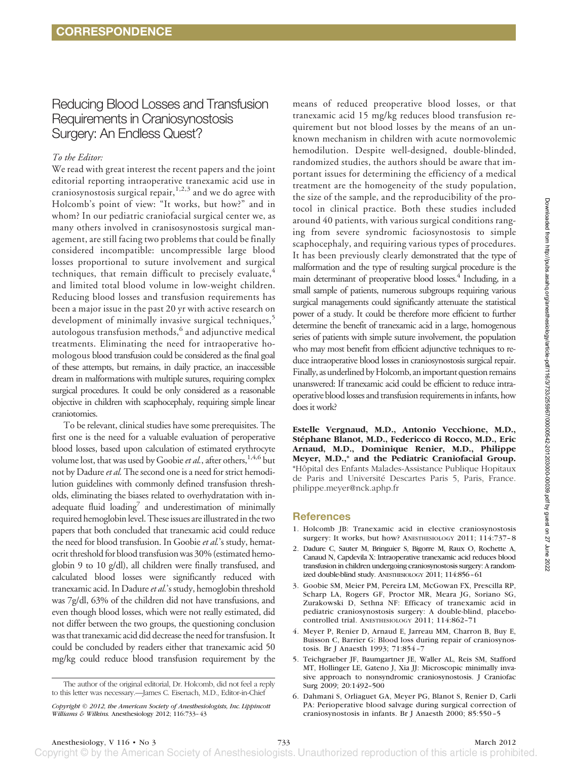# Reducing Blood Losses and Transfusion Requirements in Craniosynostosis Surgery: An Endless Quest?

## *To the Editor:*

We read with great interest the recent papers and the joint editorial reporting intraoperative tranexamic acid use in craniosynostosis surgical repair,<sup>1,2,3</sup> and we do agree with Holcomb's point of view: "It works, but how?" and in whom? In our pediatric craniofacial surgical center we, as many others involved in cranisosynostosis surgical management, are still facing two problems that could be finally considered incompatible: uncompressible large blood losses proportional to suture involvement and surgical techniques, that remain difficult to precisely evaluate, $4$ and limited total blood volume in low-weight children. Reducing blood losses and transfusion requirements has been a major issue in the past 20 yr with active research on development of minimally invasive surgical techniques,<sup>5</sup> autologous transfusion methods,<sup>6</sup> and adjunctive medical treatments. Eliminating the need for intraoperative homologous blood transfusion could be considered as the final goal of these attempts, but remains, in daily practice, an inaccessible dream in malformations with multiple sutures, requiring complex surgical procedures. It could be only considered as a reasonable objective in children with scaphocephaly, requiring simple linear craniotomies.

To be relevant, clinical studies have some prerequisites. The first one is the need for a valuable evaluation of peroperative blood losses, based upon calculation of estimated erythrocyte volume lost, that was used by Goobie *et al.*, after others,<sup>1,4,6</sup> but not by Dadure*et al.* The second one is a need for strict hemodilution guidelines with commonly defined transfusion thresholds, eliminating the biases related to overhydratation with inadequate fluid loading<sup>7</sup> and underestimation of minimally required hemoglobin level. These issues are illustrated in the two papers that both concluded that tranexamic acid could reduce the need for blood transfusion. In Goobie *et al.*'s study, hematocrit threshold for blood transfusion was 30% (estimated hemoglobin 9 to 10 g/dl), all children were finally transfused, and calculated blood losses were significantly reduced with tranexamic acid. In Dadure*et al.*'s study, hemoglobin threshold was 7g/dl, 63% of the children did not have transfusions, and even though blood losses, which were not really estimated, did not differ between the two groups, the questioning conclusion was that tranexamic acid did decrease the need for transfusion. It could be concluded by readers either that tranexamic acid 50 mg/kg could reduce blood transfusion requirement by the

means of reduced preoperative blood losses, or that tranexamic acid 15 mg/kg reduces blood transfusion requirement but not blood losses by the means of an unknown mechanism in children with acute normovolemic hemodilution. Despite well-designed, double-blinded, randomized studies, the authors should be aware that important issues for determining the efficiency of a medical treatment are the homogeneity of the study population, the size of the sample, and the reproducibility of the protocol in clinical practice. Both these studies included around 40 patients, with various surgical conditions ranging from severe syndromic faciosynostosis to simple scaphocephaly, and requiring various types of procedures. It has been previously clearly demonstrated that the type of malformation and the type of resulting surgical procedure is the main determinant of preoperative blood losses.<sup>4</sup> Including, in a small sample of patients, numerous subgroups requiring various surgical managements could significantly attenuate the statistical power of a study. It could be therefore more efficient to further determine the benefit of tranexamic acid in a large, homogenous series of patients with simple suture involvement, the population who may most benefit from efficient adjunctive techniques to reduce intraoperative blood losses in craniosynostosis surgical repair. Finally, as underlined by Holcomb, an important question remains unanswered: If tranexamic acid could be efficient to reduce intraoperative blood losses and transfusion requirements in infants, how does it work?

**Estelle Vergnaud, M.D., Antonio Vecchione, M.D.,** Stéphane Blanot, M.D., Federicco di Rocco, M.D., Eric **Arnaud, M.D., Dominique Renier, M.D., Philippe Meyer, M.D.,\* and the Pediatric Craniofacial Group.** \*Hoˆpital des Enfants Malades-Assistance Publique Hopitaux de Paris and Université Descartes Paris 5, Paris, France. philippe.meyer@nck.aphp.fr

### **References**

- 1. Holcomb JB: Tranexamic acid in elective craniosynostosis surgery: It works, but how? ANESTHESIOLOGY 2011; 114:737-8
- 2. Dadure C, Sauter M, Bringuier S, Bigorre M, Raux O, Rochette A, Canaud N, Capdevila X: Intraoperative tranexamic acid reduces blood transfusion in children undergoing craniosynostosis surgery: A randomized double-blind study. ANESTHESIOLOGY 2011; 114:856–61
- 3. Goobie SM, Meier PM, Pereira LM, McGowan FX, Prescilla RP, Scharp LA, Rogers GF, Proctor MR, Meara JG, Soriano SG, Zurakowski D, Sethna NF: Efficacy of tranexamic acid in pediatric craniosynostosis surgery: A double-blind, placebocontrolled trial. ANESTHESIOLOGY 2011; 114:862–71
- 4. Meyer P, Renier D, Arnaud E, Jarreau MM, Charron B, Buy E, Buisson C, Barrier G: Blood loss during repair of craniosynostosis. Br J Anaesth 1993; 71:854 –7
- 5. Teichgraeber JF, Baumgartner JE, Waller AL, Reis SM, Stafford MT, Hollinger LE, Gateno J, Xia JJ: Microscopic minimally invasive approach to nonsyndromic craniosynostosis. J Craniofac Surg 2009; 20:1492–500
- 6. Dahmani S, Orliaguet GA, Meyer PG, Blanot S, Renier D, Carli PA: Perioperative blood salvage during surgical correction of craniosynostosis in infants. Br J Anaesth 2000; 85:550 –5

Copyright © by the American Society of Anesthesiologists. Unauthorized reproduction of this article is prohibited

The author of the original editorial, Dr. Holcomb, did not feel a reply to this letter was necessary.—James C. Eisenach, M.D., Editor-in-Chief

*Copyright © 2012, the American Society of Anesthesiologists, Inc. Lippincott Williams & Wilkins.* Anesthesiology 2012; 116:733–43